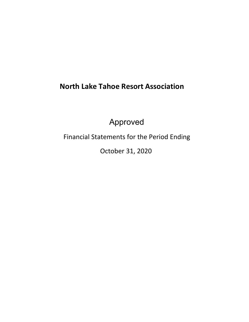# **North Lake Tahoe Resort Association**

Approved

Financial Statements for the Period Ending

October 31, 2020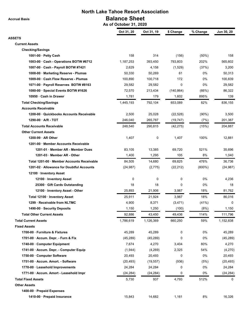**Accrual Basis**

## **North Lake Tahoe Resort Association Balance Sheet As of October 31, 2020**

|                                           | Oct 31, 20 | Oct 31, 19 | \$ Change  | % Change  | Jun 30, 20 |
|-------------------------------------------|------------|------------|------------|-----------|------------|
| ASSETS                                    |            |            |            |           |            |
| <b>Current Assets</b>                     |            |            |            |           |            |
| <b>Checking/Savings</b>                   |            |            |            |           |            |
| 1001-00 · Petty Cash                      | 158        | 314        | (156)      | (50%)     | 158        |
| 1003-00 Cash - Operations BOTW #6712      | 1,187,253  | 393,450    | 793,803    | 202%      | 565,602    |
| 1007-00 Cash - Payroll BOTW #7421         | 2,629      | 4,158      | (1,529)    | (37%)     | 3,200      |
| 1008-00 Marketing Reserve - Plumas        | 50,330     | 50,269     | 61         | 0%        | 50,313     |
| 1009-00 Cash Flow Reserve - Plumas        | 100,890    | 100,718    | 172        | 0%        | 100,839    |
| 1071-00 · Payroll Reserves BOTW #8163     | 29,582     | 29,582     | 0          | 0%        | 29,582     |
| 1080-00 Special Events BOTW #1626         | 72,570     | 213,434    | (140, 864) | (66%)     | 86,322     |
| 10950 · Cash in Drawer                    | 1,781      | 179        | 1,602      | 895%      | 139        |
| <b>Total Checking/Savings</b>             | 1,445,193  | 792,104    | 653,089    | 82%       | 836,155    |
| <b>Accounts Receivable</b>                |            |            |            |           |            |
| 1200-00 Quickbooks Accounts Receivable    | 2,500      | 25,028     | (22, 528)  | $(90\%)$  | 3,500      |
| 1290-00 A/R - TOT                         | 246,040    | 265,787    | (19, 747)  | (7%)      | 201,387    |
| <b>Total Accounts Receivable</b>          | 248,540    | 290,815    | (42, 275)  | (15%)     | 204,887    |
| <b>Other Current Assets</b>               |            |            |            |           |            |
| 1200-99 AR Other                          | 1,407      | 0          | 1,407      | 100%      | 12,881     |
| 1201-00 Member Accounts Receivable        |            |            |            |           |            |
| 1201-01 · Member AR - Member Dues         | 83,105     | 13,385     | 69,720     | 521%      | 35,696     |
| 1201-03 · Member AR - Other               | 1,400      | 1,295      | 105        | 8%        | 1,040      |
| Total 1201-00 Member Accounts Receivable  | 84,505     | 14,680     | 69,825     | 476%      | 36,736     |
| 1201-02 · Allowance for Doubtful Accounts | (24, 987)  | (2,775)    | (22, 212)  | $(800\%)$ | (24, 987)  |
| 12100 · Inventory Asset                   |            |            |            |           |            |
| 12100 · Inventory Asset                   | 0          | 0          | 0          | 0%        | 4,236      |
| 25300 Gift Cards Outstanding              | 18         | 18         | 0          | 0%        | 18         |
| 12100 · Inventory Asset - Other           | 25,893     | 21,906     | 3,987      | 18%       | 81,762     |
| Total 12100 · Inventory Asset             | 25,911     | 21,924     | 3,987      | 18%       | 86,016     |
| 1299 · Receivable from NLTMC              | 4,900      | 8,371      | (3, 471)   | (41%)     | 0          |
| 1490-00 · Security Deposits               | 1,150      | 1,250      | (100)      | (8%)      | 1,150      |
| <b>Total Other Current Assets</b>         | 92,886     | 43,450     | 49,436     | 114%      | 111,796    |
| <b>Total Current Assets</b>               | 1,786,619  | 1,126,369  | 660,250    | 59%       | 1,152,838  |
| <b>Fixed Assets</b>                       |            |            |            |           |            |
| 1700-00 Furniture & Fixtures              | 45,289     | 45,289     | 0          | 0%        | 45,289     |
| 1701-00 - Accum. Depr. - Furn & Fix       | (45, 289)  | (45, 289)  | 0          | 0%        | (45, 289)  |
| 1740-00 Computer Equipment                | 7,674      | 4,270      | 3,404      | 80%       | 4,270      |
| 1741-00 · Accum. Depr. - Computer Equip   | (1,944)    | (4,269)    | 2,325      | 54%       | (4,270)    |
| 1750-00 Computer Software                 | 20,493     | 20,493     | 0          | 0%        | 20,493     |
| 1751-00 · Accum. Amort. - Software        | (20, 493)  | (19, 557)  | (936)      | (5%)      | (20, 493)  |
| 1770-00 · Leasehold Improvements          | 24,284     | 24,284     | 0          | 0%        | 24,284     |
| 1771-00 · Accum. Amort - Leasehold Impr   | (24, 284)  | (24, 284)  | 0          | 0%        | (24, 284)  |
|                                           |            |            |            |           |            |
| <b>Total Fixed Assets</b>                 | 5,730      | 937        | 4,793      | 512%      | 0          |
| <b>Other Assets</b>                       |            |            |            |           |            |
| 1400-00 · Prepaid Expenses                |            |            |            |           |            |
| 1410-00 · Prepaid Insurance               | 15,843     | 14,682     | 1,161      | 8%        | 16,326     |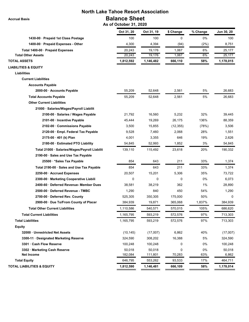| <b>North Lake Tahoe Resort Association</b>    |                                                |            |           |          |            |
|-----------------------------------------------|------------------------------------------------|------------|-----------|----------|------------|
| <b>Accrual Basis</b>                          | <b>Balance Sheet</b><br>As of October 31, 2020 |            |           |          |            |
|                                               | Oct 31, 20                                     | Oct 31, 19 | \$ Change | % Change | Jun 30, 20 |
| 1430-00 · Prepaid 1st Class Postage           | 100                                            | 100        | 0         | 0%       | 100        |
| 1400-00 · Prepaid Expenses - Other            | 4,300                                          | 4,394      | (94)      | (2%)     | 8,751      |
| Total 1400-00 · Prepaid Expenses              | 20,243                                         | 19,176     | 1,067     | 6%       | 25,177     |
| <b>Total Other Assets</b>                     | 20,243                                         | 19,176     | 1,067     | 6%       | 25,177     |
| <b>TOTAL ASSETS</b>                           | 1,812,592                                      | 1,146,482  | 666,110   | 58%      | 1,178,015  |
| <b>LIABILITIES &amp; EQUITY</b>               |                                                |            |           |          |            |
| Liabilities                                   |                                                |            |           |          |            |
| <b>Current Liabilities</b>                    |                                                |            |           |          |            |
| <b>Accounts Payable</b>                       |                                                |            |           |          |            |
| 2000-00 Accounts Payable                      | 55,209                                         | 52,648     | 2,561     | 5%       | 26,683     |
| <b>Total Accounts Payable</b>                 | 55,209                                         | 52,648     | 2,561     | 5%       | 26,683     |
| <b>Other Current Liabilities</b>              |                                                |            |           |          |            |
| 21000 · Salaries/Wages/Payroll Liabilit       |                                                |            |           |          |            |
| 2100-00 · Salaries / Wages Payable            | 21,792                                         | 16,560     | 5,232     | 32%      | 39,445     |
| 2101-00 - Incentive Payable                   | 45,444                                         | 19,269     | 26,175    | 136%     | 88,359     |
| 2102-00 Commissions Payable                   | 3,500                                          | 15,855     | (12, 355) | (78%)    | 3,506      |
| 2120-00 Empl. Federal Tax Payable             | 9,528                                          | 7,460      | 2,068     | 28%      | 1,551      |
| 2175-00 · 401 (k) Plan                        | 4,001                                          | 3,355      | 646       | 19%      | 2,626      |
| 2180-00 · Estimated PTO Liability             | 54,845                                         | 52,993     | 1,852     | 3%       | 54,845     |
| Total 21000 · Salaries/Wages/Payroll Liabilit | 139,110                                        | 115,492    | 23,618    | 20%      | 190,332    |
|                                               |                                                |            |           |          |            |
| 2190-00 · Sales and Use Tax Payable           | 854                                            | 643        | 211       | 33%      |            |
| 25500 *Sales Tax Payable                      |                                                |            |           |          | 1,374      |
| Total 2190-00 · Sales and Use Tax Payable     | 854                                            | 643        | 211       | 33%      | 1,374      |
| 2250-00 Accrued Expenses                      | 20,507                                         | 15,201     | 5,306     | 35%      | 73,722     |
| 2300-00 · Marketing Cooperative Liabili       | 0                                              | 0          | 0         | 0%       | 6,073      |
| 2400-60 · Deferred Revenue- Member Dues       | 38,581                                         | 38,219     | 362       | 1%       | 28,890     |
| 2500-00 Deferred Revenue - TMBC               | 1,290                                          | 840        | 450       | 54%      | 1,290      |
| 2700-00 Deferred Rev. County                  | 525,305                                        | 350,305    | 175,000   | 50%      | 0          |
| 2900-00 Due To/From County of Placer          | 384,939                                        | 19,871     | 365,068   | 1,837%   | 384,939    |
| <b>Total Other Current Liabilities</b>        | 1,110,586                                      | 540,571    | 570,015   | 105%     | 686,620    |
| <b>Total Current Liabilities</b>              | 1,165,795                                      | 593,219    | 572,576   | 97%      | 713,303    |
| <b>Total Liabilities</b>                      | 1,165,795                                      | 593,219    | 572,576   | 97%      | 713,303    |
| <b>Equity</b>                                 |                                                |            |           |          |            |
| 32000 Unrestricted Net Assets                 | (10, 145)                                      | (17,007)   | 6,862     | 40%      | (17,007)   |
| 3300-11 Designated Marketing Reserve          | 324,590                                        | 308,202    | 16,388    | 5%       | 324,590    |
| 3301 Cash Flow Reserve                        | 100,248                                        | 100,248    | 0         | 0%       | 100,248    |
| 3302 Marketing Cash Reserve                   | 50,018                                         | 50,018     | 0         | 0%       | 50,018     |
| <b>Net Income</b>                             | 182,084                                        | 111,801    | 70,283    | 63%      | 6,862      |
| <b>Total Equity</b>                           | 646,795                                        | 553,262    | 93,533    | 17%      | 464,711    |
| <b>TOTAL LIABILITIES &amp; EQUITY</b>         | 1,812,590                                      | 1,146,481  | 666,109   | 58%      | 1,178,014  |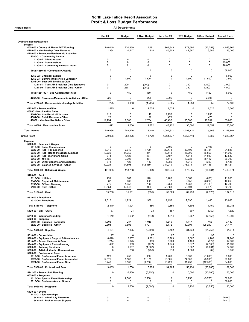| <b>All Departments</b><br><b>Accrual Basis</b>                                                                                                                                                                                                              |                                             |                                               |                                                  |                                                      |                                                             |                                                               |                                                |  |  |  |
|-------------------------------------------------------------------------------------------------------------------------------------------------------------------------------------------------------------------------------------------------------------|---------------------------------------------|-----------------------------------------------|--------------------------------------------------|------------------------------------------------------|-------------------------------------------------------------|---------------------------------------------------------------|------------------------------------------------|--|--|--|
|                                                                                                                                                                                                                                                             | <b>Oct 20</b>                               | <b>Budget</b>                                 | \$ Over Budget                                   | <b>Jul - Oct 20</b>                                  | <b>YTD Budget</b>                                           | \$ Over Budget                                                | Annual Bud                                     |  |  |  |
| <b>Ordinary Income/Expense</b>                                                                                                                                                                                                                              |                                             |                                               |                                                  |                                                      |                                                             |                                                               |                                                |  |  |  |
| Income<br>4050-00 County of Placer TOT Funding<br>4200-00 · Membership Dues Revenue<br>4250-00 · Revenues-Membership Activities<br>4250-01 · Community Awards                                                                                               | 246,040<br>11,334                           | 230,859<br>10,417                             | 15,181<br>918                                    | 967,343<br>45,353                                    | 979,594<br>41,667                                           | (12, 251)<br>3,686                                            | 4,043,867<br>125,000                           |  |  |  |
| 4250-04 · Silent Auction                                                                                                                                                                                                                                    | 0                                           | 0                                             | $\mathbf 0$                                      | 0                                                    | 0                                                           | 0                                                             | 19,000                                         |  |  |  |
| 4250-05 · Sponsorships<br>4250-01 Community Awards - Other                                                                                                                                                                                                  | $\mathbf 0$<br>$\mathbf 0$                  | $\mathbf 0$<br>0                              | $\mathbf 0$<br>$\mathbf 0$                       | $\Omega$<br>0                                        | 0<br>0                                                      | $\mathbf 0$<br>$\mathbf 0$                                    | 19,000<br>20,000                               |  |  |  |
| Total 4250-01 · Community Awards                                                                                                                                                                                                                            | 0                                           | $\mathbf 0$                                   | $\mathbf 0$                                      | $\mathbf 0$                                          | $\mathbf 0$                                                 | $\mathbf 0$                                                   | 58,000                                         |  |  |  |
|                                                                                                                                                                                                                                                             |                                             |                                               |                                                  |                                                      |                                                             |                                                               |                                                |  |  |  |
| 4250-02 · Chamber Events<br>4250-03 · Summer/Winter Rec Luncheon<br>4251-00 · Tues AM Breakfast Club                                                                                                                                                        | 0<br>0                                      | 0<br>1,500                                    | 0<br>(1,500)                                     | $\Omega$<br>0                                        | $\mathbf 0$<br>1,500                                        | $\mathbf 0$<br>(1,500)                                        | 6,000<br>2,500                                 |  |  |  |
| 4251-01 · Tues AM Breakfast Club Sponsors<br>4251-00 · Tues AM Breakfast Club - Other                                                                                                                                                                       | 0<br>0                                      | 200<br>250                                    | (200)<br>(250)                                   | 0<br>0                                               | 200<br>250                                                  | (200)<br>(250)                                                | 2,000<br>4,000                                 |  |  |  |
| Total 4251-00 · Tues AM Breakfast Club                                                                                                                                                                                                                      | 0                                           | 450                                           | (450)                                            | $\mathbf 0$                                          | 450                                                         | (450)                                                         | 6,000                                          |  |  |  |
| 4250-00 · Revenues-Membership Activities - Other                                                                                                                                                                                                            | 225                                         | 0                                             | 225                                              | 2,005                                                | $\mathbf 0$                                                 | 2,005                                                         |                                                |  |  |  |
| Total 4250-00 · Revenues-Membership Activities                                                                                                                                                                                                              | 225                                         | 1,950                                         | (1, 725)                                         | 2,005                                                | 1,950                                                       | 55                                                            | 72,500                                         |  |  |  |
| 4253-00 · Revenue-Other                                                                                                                                                                                                                                     | 1,525                                       | $\Omega$                                      | 1,525                                            | 1,525                                                | 0                                                           | 1,525                                                         | 2,500                                          |  |  |  |
| 46000 · Merchandise Sales<br>4502-00 · Non-Retail VIC income                                                                                                                                                                                                | 118                                         | 0                                             | 118                                              | 1,250                                                | 0                                                           | 1,250                                                         |                                                |  |  |  |
| 4504-00 · Retail Revenue - Other                                                                                                                                                                                                                            | 20                                          | $\Omega$                                      | 20                                               | 470                                                  | $\Omega$                                                    | 470                                                           |                                                |  |  |  |
| 46000 · Merchandise Sales - Other                                                                                                                                                                                                                           | 11,734                                      | 9,000                                         | 2,734                                            | 46,432                                               | 35,500                                                      | 10,932                                                        | 85,000                                         |  |  |  |
| Total 46000 · Merchandise Sales                                                                                                                                                                                                                             | 11,872                                      | 9,000                                         | 2,872                                            | 48,152                                               | 35,500                                                      | 12,652                                                        | 85,000                                         |  |  |  |
| <b>Total Income</b>                                                                                                                                                                                                                                         | 270,996                                     | 252,226                                       | 18,770                                           | 1,064,377                                            | 1,058,710                                                   | 5,666                                                         | 4,328,867                                      |  |  |  |
| <b>Gross Profit</b>                                                                                                                                                                                                                                         | 270,996                                     | 252,226                                       | 18,770                                           | 1,064,377                                            | 1,058,710                                                   | 5,666                                                         | 4,328,867                                      |  |  |  |
| <b>Expense</b><br>5000-00 · Salaries & Wages<br>5010-00 · Sales Commissions<br>5020-00 · P/R - Tax Expense<br>5030-00 · P/R - Health Insurance Expense<br>5040-00 · P/R - Workmans Comp<br>5060-00 $\cdot$ 401 (k)<br>5070-00 · Other Benefits and Expenses | 0<br>5,310<br>10,739<br>674<br>2,435<br>571 | 0<br>7,049<br>11,750<br>1,128<br>3,308<br>428 | 0<br>(1,739)<br>(1,011)<br>(454)<br>(874)<br>143 | 2,106<br>22,474<br>40,142<br>3,497<br>5,116<br>1,389 | $\mathbf 0$<br>28,195<br>47,000<br>4,511<br>13,233<br>1,712 | 2,106<br>(5, 721)<br>(6, 858)<br>(1,013)<br>(8, 117)<br>(323) | 84,586<br>141,000<br>13,532<br>39,700<br>5,135 |  |  |  |
| 5000-00 · Salaries & Wages - Other                                                                                                                                                                                                                          | 82,224                                      | 94,593                                        | (12, 369)                                        | 334,219                                              | 378,374                                                     | (44, 155)                                                     | 1,135,121                                      |  |  |  |
| Total 5000-00 · Salaries & Wages                                                                                                                                                                                                                            | 101,953                                     | 118,256                                       | (16, 303)                                        | 408,944                                              | 473,025                                                     | (64,081)                                                      | 1,419,074                                      |  |  |  |
| $5100-00 \cdot$ Rent<br>$5110-00 \cdot$ Utilities<br>5140-00 · Repairs & Maintenance<br>5150-00 · Office - Cleaning<br>$5100-00 \cdot$ Rent - Other                                                                                                         | 791<br>87<br>775<br>13,554                  | 967<br>888<br>1,058<br>12,648                 | (176)<br>(802)<br>(283)<br>906                   | 3,203<br>347<br>2,750<br>53,563                      | 3,862<br>3,553<br>4,233<br>50,591                           | (658)<br>(3, 206)<br>(1, 483)<br>2,972                        | 11,655<br>10,660<br>12,700<br>152,798          |  |  |  |
| Total 5100-00 · Rent                                                                                                                                                                                                                                        | 15,206                                      | 15,561                                        | (355)                                            | 59,863                                               | 62,239                                                      | (2,376)                                                       | 187,813                                        |  |  |  |
| 5310-00 · Telephone                                                                                                                                                                                                                                         |                                             |                                               |                                                  |                                                      |                                                             |                                                               |                                                |  |  |  |
| 5320-00 · Telephone                                                                                                                                                                                                                                         | 2,310                                       | 1,924                                         | 386                                              | 9,156                                                | 7,696                                                       | 1,460                                                         | 23,088                                         |  |  |  |
| Total 5310-00 · Telephone                                                                                                                                                                                                                                   | 2,310                                       | 1,924                                         | 386                                              | 9,156                                                | 7,696                                                       | 1,460                                                         | 23,088                                         |  |  |  |
| 5420-00 Mail - USPS                                                                                                                                                                                                                                         | 57                                          | 24                                            | 33                                               | 157                                                  | 507                                                         | (350)                                                         | 1,520                                          |  |  |  |
| 5510-00 · Insurance/Bonding                                                                                                                                                                                                                                 | 1,149                                       | 1,692                                         | (543)                                            | 4,314                                                | 6,767                                                       | (2, 453)                                                      | 20,300                                         |  |  |  |
| $5520-00 \cdot$ Supplies<br>5525-00 · Supplies- Computer<br>5520-00 · Supplies - Other                                                                                                                                                                      | 1,303<br>2,891                              | 287<br>7,598                                  | 1,016<br>(4,707)                                 | 1,610<br>5,172                                       | 1,147<br>30,391                                             | 463<br>(25, 219)                                              | 3,440<br>91,174                                |  |  |  |
| Total 5520-00 · Supplies                                                                                                                                                                                                                                    | 4,194                                       | 7,885                                         | (3,691)                                          | 6,782                                                | 31,538                                                      | (24, 756)                                                     | 94,614                                         |  |  |  |
| 5610-00 Depreciation                                                                                                                                                                                                                                        | 97                                          | $\Omega$                                      | 97                                               | 97                                                   | 0                                                           | 97                                                            |                                                |  |  |  |
| 5700-00 · Equipment Support & Maintenance<br>5710-00 · Taxes, Licenses & Fees                                                                                                                                                                               | 6,628<br>1,214                              | 2,267<br>1,025                                | 4,361<br>189                                     | 13,769<br>3,728                                      | 9,067<br>4,100                                              | 4,703<br>(372)                                                | 27,200<br>12,300                               |  |  |  |
| 5740-00 · Equipment Rental/Leasing<br>5800-00 · Training Seminars                                                                                                                                                                                           | 492<br>0                                    | 969                                           | (477)                                            | 1,774                                                | 3,877                                                       | (2, 103)                                                      | 11,630                                         |  |  |  |
| 5850-00 · Artist of Month - Commissions<br>5900-00 · Professional Fees                                                                                                                                                                                      | $\mathbf 0$                                 | 1,667<br>250                                  | (1,667)<br>(250)                                 | 66<br>918                                            | 6,667<br>1,000                                              | (6,601)<br>(82)                                               | 22,000<br>3,000                                |  |  |  |
| 5910-00 · Professional Fees - Attorneys<br>5920-00 · Professional Fees - Accountant<br>5921-00 · Professional Fees - Other                                                                                                                                  | 120<br>12,675<br>6,240                      | 750<br>1,500<br>9,500                         | (630)<br>11,175<br>(3,260)                       | 1,200<br>15,065<br>18,720                            | 3,000<br>24,000<br>31,250                                   | (1,800)<br>(8,935)<br>(12, 530)                               | 9,000<br>26,000<br>134,000                     |  |  |  |
| Total 5900-00 · Professional Fees                                                                                                                                                                                                                           | 19,035                                      | 11,750                                        | 7,285                                            | 34,985                                               | 58,250                                                      | (23, 265)                                                     | 169,000                                        |  |  |  |
| 5941-00 · Research & Planning                                                                                                                                                                                                                               | 0                                           | 6,250                                         | (6, 250)                                         | 0                                                    | 10,000                                                      | (10,000)                                                      | 55,000                                         |  |  |  |
| $6020-00 \cdot$ Programs<br>6016-00 · Special Event Partnership<br>6018-00 · Business Assoc. Grants                                                                                                                                                         | 0<br>0                                      | 2,500<br>0                                    | (2,500)<br>0                                     | 0<br>0                                               | 3,750<br>0                                                  | (3,750)<br>0                                                  | 50,000<br>30,000                               |  |  |  |
| Total 6020-00 · Programs                                                                                                                                                                                                                                    | $\mathbf 0$                                 | 2,500                                         | (2,500)                                          | $\mathbf 0$                                          | 3,750                                                       | (3,750)                                                       | 80,000                                         |  |  |  |
|                                                                                                                                                                                                                                                             |                                             |                                               |                                                  |                                                      |                                                             |                                                               |                                                |  |  |  |
| 6420-00 · Events<br>6420-01 · Sponsorships<br>6421-01 · 4th of July Fireworks<br>6421-04 · Broken Arrow Skyrace                                                                                                                                             | 0<br>$\mathbf 0$                            | 0<br>0                                        | 0<br>$\mathsf 0$                                 | 0<br>$\mathbf 0$                                     | 0<br>0                                                      | 0<br>0                                                        | 20,000<br>25,400                               |  |  |  |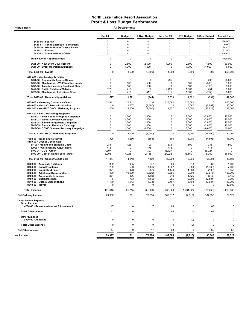Accrual Basis **Accrual Basis All Departments** 

|                                                                                | <b>Oct 20</b>    | <b>Budget</b>  | \$ Over Budget       | Jul - Oct 20           | <b>YTD Budget</b> | \$ Over Budget         | Annual Bud       |
|--------------------------------------------------------------------------------|------------------|----------------|----------------------|------------------------|-------------------|------------------------|------------------|
| $6421-06 \cdot$ Spartan                                                        | 0                | $\mathbf 0$    | 0                    | 0                      | 0                 | $\mathbf 0$            | 180.900          |
| 6421-07 · Tahoe Lacrosse Tournament                                            | 0                | $\Omega$       | 0                    | 0                      | $\mathbf 0$       | $\mathbf 0$            | 6,000            |
| 6421-10 · WinterWonderGrass - Tahoe                                            | 0                | $\mathbf 0$    | 0                    | 0                      | 0                 | $\mathbf 0$            | 24,400           |
| 6421-17 · Enduro                                                               | 0                | $\mathbf 0$    | 0                    | 0                      | 0                 | $\mathbf 0$            | 31,500           |
| 6420-01 · Sponsorships - Other                                                 | 0                | 0              | 0                    | 0                      | 0                 | $\mathbf 0$            | 240,800          |
| Total 6420-01 · Sponsorships                                                   | $\pmb{0}$        | $\Omega$       | $\mathbf 0$          | $\mathbf 0$            | 0                 | $\Omega$               | 529,000          |
| 6421-00 · New Event Development<br>6424-00 · Event Operation Expenses          | $\mathbf 0$<br>0 | 2,500<br>1,000 | (2,500)<br>(1,000)   | 4.000<br>0             | 2,500<br>1,000    | 1,500<br>(1,000)       | 30,000<br>6,000  |
| Total 6420-00 · Events                                                         | 0                | 3,500          | (3,500)              | 4,000                  | 3,500             | 500                    | 565,000          |
| 6423-00 · Membership Activities                                                |                  |                |                      |                        |                   |                        |                  |
| 6434-00 Community Awards Dinner                                                | $\mathbf 0$      | $\mathbf 0$    | $\mathbf 0$          | 295                    | 0                 | 295                    | 28,000           |
| 6436-00 · Membership - Wnt/Sum Rec Lunch                                       | $\mathbf 0$      | 500            | (500)                | $\mathbf 0$            | 500               | (500)                  | 1,000            |
| 6437-00 · Tuesday Morning Breakfast Club<br>6442-00 · Public Relations/Website | 0<br>577         | 188<br>417     | (188)<br>160         | $\mathbf 0$<br>2.420   | 188<br>1.667      | (188)<br>754           | 3,000<br>5,000   |
| 6423-00 · Membership Activities - Other                                        | $\pmb{0}$        | 417            | (417)                | 915                    | 1,667             | (752)                  | 5,000            |
| Total 6423-00 · Membership Activities                                          | 577              | 1,521          | (944)                | 3,630                  | 4,021             | (391)                  | 42,000           |
| 6730-00 · Marketing Cooperative/Media                                          | 22,811           | 22,811         | O                    | 228,082                | 228,082           | $\Omega$               | 1,000,000        |
| 6740-00 · Media/Collateral/Production                                          | 0                | 1,667          | (1,667)              | $\Omega$               | 6,667             | (6,667)                | 20,000           |
| 6742-00 · Non-NLT Co-Op Marketing Program                                      | 200              | 23,000         | (22, 800)            | 1,377                  | 48,000            | (46, 623)              | 232,000          |
| 6743-00 · BACC Marketing Programs                                              |                  |                |                      |                        |                   |                        |                  |
| 6743-01 · Year Round Shopping Campaign                                         | $\mathbf 0$      | 1,000          | (1,000)              | $\mathbf 0$            | 2,000             | (2,000)                | 10,000           |
| 6743-03 · Winter Lakeside Campaign                                             | $\Omega$         | 1.000          | (1,000)              | $\mathbf 0$            | 2,000             | (2,000)                | 10,000           |
| 6743-04 · Summerlong Music Campaign<br>6743-05 · Summer Mountain Campaign      | 0<br>$\mathbf 0$ | 1,000<br>1,000 | (1,000)<br>(1,000)   | $\pmb{0}$<br>$\pmb{0}$ | 2,000<br>2,000    | (2,000)<br>(2,000)     | 10,000<br>10,000 |
| 6743-06 · COVID Summer Recovery Campaign                                       | 0                | 4,000          | (4,000)              | $\mathbf 0$            | 8,000             | (8,000)                | 40,000           |
| Total 6743-00 · BACC Marketing Programs                                        | $\pmb{0}$        | 8,000          | (8,000)              | $\mathbf 0$            | 16,000            | (16,000)               | 80,000           |
| 7500-00 · Trade Shows/Travel                                                   | 395              | 1,250          | (855)                | 395                    | 5,000             | (4,605)                | 15,000           |
| 8100-00 · Cost of Goods Sold<br>51100 · Freight and Shipping Costs             | 234              | 125            | 109                  | 836                    | 500               | 336                    | 1,500            |
| 59900 · POS Inventory Adjustments                                              | 478              | $\mathbf 0$    | 478                  | 478                    | $\mathbf 0$       | 478                    | $\mathbf 0$      |
| 8100-01 · CGS - Other                                                          | 4,397            | $\mathbf 0$    | 4,397                | 56,727                 | $\mathbf 0$       | 56,727                 | $\mathbf 0$      |
| 8100-00 · Cost of Goods Sold - Other                                           | 6,208            | 4,023          | 2,185                | 24,228                 | 15,869            | 8,360                  | 38,000           |
| Total 8100-00 · Cost of Goods Sold                                             | 11,317           | 4,148          | 7,169                | 82,269                 | 16,369            | 65,901                 | 39,500           |
| 8200-00 · Associate Relations                                                  | 382              | 135            | 247                  | 904                    | 518               | 386                    | 1,600            |
| 8300-00 · Board Functions                                                      | 299              | 500            | (201)                | 1,567                  | 3.000             | (1, 433)               | 7,000            |
| 8500-00 · Credit Card Fees                                                     | 371              | 423            | (52)                 | 1,474                  | 1,669             | (195)                  | 5,850            |
| 8600-00 · Additional Opportunites                                              | 1,480            | 10,000         | (8,520)              | 10,385                 | 40,000            | (29, 615)              | 120,000          |
| 8700-00 · Automobile Expenses                                                  | 264              | 466            | (202)                | 810                    | 1,726             | (915)                  | 5,450            |
| 8750-00 · Meals/Meetings                                                       | 6                | 763            | (756)                | 206                    | 2,800             | (2, 594)               | 8,900            |
| 8810-00 · Dues & Subscriptions<br>8910-00 · Travel                             | 1,179<br>0       | 1,513<br>0     | (334)<br>$\mathbf 0$ | 2,707<br>0             | 5,794<br>0        | (3,087)<br>$\mathbf 0$ | 17,900<br>12,600 |
| <b>Total Expense</b>                                                           | 191,616          | 251,715        | (60, 098)            | 882,360                | 1,061,626         | (179, 266)             | 4,299,338        |
| <b>Net Ordinary Income</b>                                                     | 79,380           | 511            | 78,868               | 182,017                | (2, 915)          | 184,932                | 29,529           |
| Other Income/Expense                                                           |                  |                |                      |                        |                   |                        |                  |
| Other Income<br>4700-00 · Revenues- Interest & Investment                      | 17               | $\mathbf 0$    | 17                   | 68                     | $\mathbf 0$       | 68                     | $\mathbf 0$      |
|                                                                                | 17               | $\mathbf 0$    | 17                   | 68                     | $\mathbf 0$       | 68                     | $\mathbf 0$      |
| <b>Total Other Income</b>                                                      |                  |                |                      |                        |                   |                        |                  |
| <b>Other Expense</b><br>8990-00 · Allocated                                    | 0                | $\mathbf 0$    | $\pmb{0}$            | $\mathbf 0$            | (0)               | $\pmb{0}$              | $\mathbf 0$      |
| <b>Total Other Expense</b>                                                     | 0                | $\mathbf 0$    | $\mathbf 0$          | $\mathbf 0$            | (0)               | $\mathbf 0$            | $\mathbf 0$      |
| <b>Net Other Income</b>                                                        | 17               | $\mathbf 0$    | 17                   | 68                     | $\mathbf 0$       | 68                     | (0)              |
| Net Income                                                                     | 79,397           | 511            | 78,886               | 182,084                | (2, 915)          | 185,000                | 29,529           |
|                                                                                |                  |                |                      |                        |                   |                        |                  |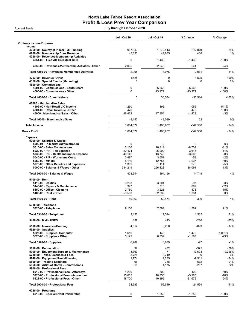# North Lake Tahoe Resort Association Profit & Loss Prev Year Comparison

Accrual Basis July through October 2020

|                                                                                                                                                                                                                                                                                                                                               | <b>Jul - Oct 20</b>                                                            | <b>Jul - Oct 19</b>                                                    | \$ Change                                                                 | % Change                                                             |
|-----------------------------------------------------------------------------------------------------------------------------------------------------------------------------------------------------------------------------------------------------------------------------------------------------------------------------------------------|--------------------------------------------------------------------------------|------------------------------------------------------------------------|---------------------------------------------------------------------------|----------------------------------------------------------------------|
| <b>Ordinary Income/Expense</b><br>Income                                                                                                                                                                                                                                                                                                      |                                                                                |                                                                        |                                                                           |                                                                      |
| 4050-00 County of Placer TOT Funding<br>4200-00 · Membership Dues Revenue                                                                                                                                                                                                                                                                     | 967,343<br>45,353                                                              | 1,279,413<br>44,885                                                    | $-312,070$<br>468                                                         | -24%<br>1%                                                           |
| 4250-00 · Revenues-Membership Activities<br>4251-00 · Tues AM Breakfast Club                                                                                                                                                                                                                                                                  | 0                                                                              | 1,430                                                                  | $-1,430$                                                                  | $-100%$                                                              |
| 4250-00 · Revenues-Membership Activities - Other                                                                                                                                                                                                                                                                                              | 2,005                                                                          | 2,646                                                                  | -641                                                                      | $-24%$                                                               |
| Total 4250-00 · Revenues-Membership Activities                                                                                                                                                                                                                                                                                                | 2,005                                                                          | 4,076                                                                  | $-2,071$                                                                  | $-51%$                                                               |
| 4253-00 · Revenue- Other<br>4350-00 · Special Events (Marketing)                                                                                                                                                                                                                                                                              | 1,525<br>0                                                                     | 0<br>0                                                                 | 1,525<br>0                                                                | 100%<br>0%                                                           |
| 4600-00 · Commissions<br>4601-00 · Commissions - South Shore<br>4600-00 · Commissions - Other                                                                                                                                                                                                                                                 | $\mathbf 0$<br>$\mathbf 0$                                                     | 6,563<br>23,971                                                        | $-6,563$<br>$-23.971$                                                     | $-100%$<br>$-100%$                                                   |
| Total 4600-00 · Commissions                                                                                                                                                                                                                                                                                                                   | $\pmb{0}$                                                                      | 30,534                                                                 | $-30,534$                                                                 | $-100%$                                                              |
| 46000 · Merchandise Sales<br>4502-00 · Non-Retail VIC income<br>4504-00 · Retail Revenue - Other<br>46000 · Merchandise Sales - Other                                                                                                                                                                                                         | 1,250<br>470<br>46,432                                                         | 195<br>0<br>47,854                                                     | 1,055<br>470<br>$-1,423$                                                  | 541%<br>100%<br>-3%                                                  |
| Total 46000 Merchandise Sales                                                                                                                                                                                                                                                                                                                 | 48,152                                                                         | 48,049                                                                 | 102                                                                       | 0%                                                                   |
| <b>Total Income</b>                                                                                                                                                                                                                                                                                                                           | 1,064,377                                                                      | 1,406,957                                                              | $-342,580$                                                                | $-24%$                                                               |
| <b>Gross Profit</b>                                                                                                                                                                                                                                                                                                                           | 1,064,377                                                                      | 1,406,957                                                              | $-342,580$                                                                | $-24%$                                                               |
| <b>Expense</b><br>5000-00 · Salaries & Wages<br>5000-01 · In-Market Administration<br>5010-00 · Sales Commissions<br>$5020-00 \cdot P/R$ - Tax Expense<br>5030-00 · P/R - Health Insurance Expense<br>5040-00 · P/R - Workmans Comp<br>$5060-00 \cdot 401$ (k)<br>5070-00 · Other Benefits and Expenses<br>5000-00 · Salaries & Wages - Other | $\mathbf 0$<br>2,106<br>22,474<br>40,142<br>3,497<br>5,116<br>1,389<br>334,219 | 0<br>10,814<br>26,090<br>43,746<br>3,551<br>12,754<br>1,114<br>296,128 | 0<br>$-8,709$<br>$-3,615$<br>$-3,603$<br>-53<br>$-7,637$<br>275<br>38,091 | 0%<br>$-81%$<br>$-14%$<br>-8%<br>$-2%$<br>-60%<br>25%<br>13%         |
| Total 5000-00 · Salaries & Wages                                                                                                                                                                                                                                                                                                              | 408,944                                                                        | 394,196                                                                | 14,748                                                                    | 4%                                                                   |
| $5100-00 \cdot$ Rent<br>$5110-00 \cdot$ Utilities<br>5140-00 · Repairs & Maintenance<br>5150-00 · Office - Cleaning<br>5100-00 · Rent - Other                                                                                                                                                                                                 | 3,203<br>347<br>2,750<br>53,563                                                | 3,301<br>716<br>3,225<br>52,232                                        | -97<br>$-369$<br>$-475$<br>1,331                                          | $-3%$<br>$-52%$<br>$-15%$<br>3%                                      |
| Total 5100-00 · Rent                                                                                                                                                                                                                                                                                                                          | 59,863                                                                         | 59.474                                                                 | 390                                                                       | 1%                                                                   |
| 5310-00 · Telephone<br>5320-00 · Telephone                                                                                                                                                                                                                                                                                                    | 9,156                                                                          | 7,594                                                                  | 1,562                                                                     | 21%                                                                  |
| Total 5310-00 · Telephone                                                                                                                                                                                                                                                                                                                     | 9,156                                                                          | 7,594                                                                  | 1,562                                                                     | 21%                                                                  |
| 5420-00 · Mail - USPS                                                                                                                                                                                                                                                                                                                         | 157                                                                            | 443                                                                    | -286                                                                      | $-65%$                                                               |
| 5510-00 · Insurance/Bonding<br>$5520-00 \cdot$ Supplies                                                                                                                                                                                                                                                                                       | 4,314                                                                          | 5,206                                                                  | $-893$                                                                    | $-17%$                                                               |
| 5525-00 · Supplies- Computer<br>5520-00 · Supplies - Other                                                                                                                                                                                                                                                                                    | 1,610<br>5,172                                                                 | 140<br>6,739                                                           | 1,470<br>$-1,567$                                                         | 1,051%<br>$-23%$                                                     |
| Total 5520-00 $\cdot$ Supplies                                                                                                                                                                                                                                                                                                                | 6,782                                                                          | 6,879                                                                  | $-97$                                                                     | $-1%$                                                                |
| 5610-00 · Depreciation<br>5700-00 · Equipment Support & Maintenance<br>5710-00 · Taxes, Licenses & Fees<br>5740-00 · Equipment Rental/Leasing<br>5800-00 · Training Seminars<br>5850-00 · Artist of Month - Commissions<br>5900-00 · Professional Fees<br>5910-00 · Professional Fees - Attorneys<br>5920-00 · Professional Fees - Accountant | 97<br>13,769<br>3,728<br>1,774<br>66<br>918<br>1,200<br>15,065                 | 472<br>71<br>3,719<br>11,285<br>738<br>1,175<br>800<br>18,350          | -375<br>13,698<br>9<br>$-9,511$<br>-672<br>$-257$<br>400<br>$-3,285$      | -79%<br>19,296%<br>0%<br>$-84%$<br>$-91%$<br>$-22%$<br>50%<br>$-18%$ |
| 5921-00 · Professional Fees - Other<br>Total 5900-00 · Professional Fees                                                                                                                                                                                                                                                                      | 18,720<br>34,985                                                               | 40,399<br>59,549                                                       | -21,679<br>$-24,564$                                                      | $-54%$<br>$-41%$                                                     |
| $6020-00 \cdot$ Programs<br>6016-00 · Special Event Partnership                                                                                                                                                                                                                                                                               | 0                                                                              | 1,250                                                                  | $-1,250$                                                                  | $-100%$                                                              |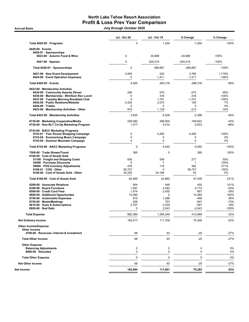## North Lake Tahoe Resort Association Profit & Loss Prev Year Comparison

Accrual Basis July through October 2020

|                                                                                    | <b>Jul - Oct 20</b> | <b>Jul - Oct 19</b>  | \$ Change              | % Change          |
|------------------------------------------------------------------------------------|---------------------|----------------------|------------------------|-------------------|
| Total 6020-00 · Programs                                                           | $\mathbf 0$         | 1,250                | $-1,250$               | $-100%$           |
| $6420-00 \cdot$ Events                                                             |                     |                      |                        |                   |
| 6420-01 · Sponsorships<br>6023-00 · Autumn Food & Wine                             | 0                   | 34,668               | $-34,668$              | -100%             |
| $6421-06 \cdot$ Spartan                                                            | 0                   | 254,019              | $-254,019$             | $-100%$           |
| Total 6420-01 · Sponsorships                                                       | $\mathbf 0$         | 288,687              | -288,687               | $-100%$           |
| 6421-00 · New Event Development                                                    | 4,000               | 220                  | 3,780                  | 1,718%            |
| 6424-00 · Event Operation Expenses                                                 | 0                   | 1,411                | $-1,411$               | $-100%$           |
| Total 6420-00 · Events                                                             | 4,000               | 290,318              | -286,318               | $-99%$            |
| 6423-00 · Membership Activities                                                    |                     |                      |                        |                   |
| 6434-00 · Community Awards Dinner<br>6436-00 · Membership - Wnt/Sum Rec Lunch      | 295<br>0            | 570<br>318           | $-275$<br>$-318$       | $-48%$<br>$-100%$ |
| 6437-00 · Tuesday Morning Breakfast Club                                           | $\mathbf 0$         | 1,741                | $-1.741$               | $-100%$           |
| 6442-00 · Public Relations/Website                                                 | 2,420               | 2,270                | 150                    | 7%                |
| $6444-00 \cdot Trades$                                                             | 0                   | 0                    | 0                      | 0%                |
| 6423-00 · Membership Activities - Other                                            | 915                 | 1,129                | $-214$                 | -19%              |
| Total 6423-00 · Membership Activities                                              | 3,630               | 6,028                | $-2,398$               | $-40%$            |
| 6730-00 · Marketing Cooperative/Media<br>6742-00 · Non-NLT Co-Op Marketing Program | 228,082<br>1,377    | 398,004<br>4,010     | $-169,922$<br>$-2,633$ | $-43%$<br>$-66%$  |
| 6743-00 · BACC Marketing Programs                                                  |                     |                      |                        |                   |
| 6743-01 · Year Round Shopping Campaign                                             | 0<br>0              | 5,450<br>0           | $-5,450$<br>0          | $-100%$           |
| 6743-04 · Summerlong Music Campaign<br>6743-05 · Summer Mountain Campaign          | $\mathbf 0$         | 0                    | 0                      | 0%<br>0%          |
| Total 6743-00 · BACC Marketing Programs                                            | 0                   | 5,450                | $-5,450$               | $-100%$           |
| 7500-00 · Trade Shows/Travel                                                       | 395                 | 0                    | 395                    | 100%              |
| 8100-00 · Cost of Goods Sold<br>51100 · Freight and Shipping Costs                 | 836                 | 558                  | 277                    | 50%               |
| 52500 · Purchase Discounts                                                         | $\mathbf 0$         | $-1$                 | $\mathbf{1}$           | 100%              |
| 59900 · POS Inventory Adjustments                                                  | 478                 | 116                  | 362                    | 311%              |
| $8100-01 \cdot \text{CGS} - \text{Other}$                                          | 56,727              | 0                    | 56,727                 | 100%              |
| 8100-00 · Cost of Goods Sold - Other                                               | 24,228              | 24,186               | 43                     | 0%                |
| Total 8100-00 · Cost of Goods Sold                                                 | 82,269              | 24,860               | 57,409                 | 231%              |
| 8200-00 · Associate Relations                                                      | 904                 | 449                  | 455                    | 101%              |
| 8300-00 · Board Functions                                                          | 1,567               | 4,282                | $-2,715$               | $-63%$            |
| 8500-00 · Credit Card Fees                                                         | 1,474               | 2,430                | $-957$                 | $-39%$            |
| 8600-00 · Additional Opportunites<br>8700-00 · Automobile Expenses                 | 10,385<br>810       | $\mathbf 0$<br>1,266 | 10,385<br>-456         | 100%<br>$-36%$    |
| 8750-00 · Meals/Meetings                                                           | 206                 | 753                  | -547                   | $-73%$            |
| 8810-00 · Dues & Subscriptions                                                     | 2,707               | 3,304                | $-597$                 | $-18%$            |
| 8920-00 · Bad Debt                                                                 | 0                   | 2,043                | $-2,043$               | -100%             |
| <b>Total Expense</b>                                                               | 882,360             | 1,295,249            | -412.889               | $-32%$            |
| <b>Net Ordinary Income</b>                                                         | 182,017             | 111,708              | 70,309                 | 63%               |
| <b>Other Income/Expense</b>                                                        |                     |                      |                        |                   |
| <b>Other Income</b>                                                                |                     |                      |                        |                   |
| 4700-00 · Revenues- Interest & Investment                                          | 68                  | 93                   | -25                    | $-27%$            |
| <b>Total Other Income</b>                                                          | 68                  | 93                   | $-25$                  | $-27%$            |
| <b>Other Expense</b><br><b>Balancing Adjustments</b>                               | 0                   | $\mathbf 0$          | 0                      | 0%                |
| 8990-00 · Allocated                                                                | 0                   | 0                    | 0                      | 0%                |
| <b>Total Other Expense</b>                                                         | 0                   | $\mathbf 0$          | 0                      | 0%                |
| <b>Net Other Income</b>                                                            | 68                  | 93                   | -25                    | $-27%$            |
| Net Income                                                                         | 182,084             | 111,801              | 70,283                 | 63%               |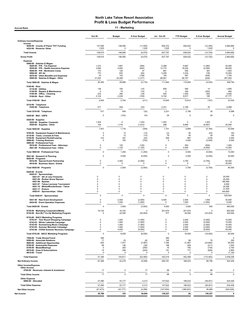Accrual Basis **11 - Marketing** 

|                                                                                                                                                                                                                                                                            | <b>Oct 20</b>                                                                     | <b>Budget</b>                                   | \$ Over Budget                                      | Jul - Oct 20                                     | <b>YTD Budget</b>                                | \$ Over Budget                                         | <b>Annual Budget</b>                                                |
|----------------------------------------------------------------------------------------------------------------------------------------------------------------------------------------------------------------------------------------------------------------------------|-----------------------------------------------------------------------------------|-------------------------------------------------|-----------------------------------------------------|--------------------------------------------------|--------------------------------------------------|--------------------------------------------------------|---------------------------------------------------------------------|
| <b>Ordinary Income/Expense</b><br>Income                                                                                                                                                                                                                                   |                                                                                   |                                                 |                                                     |                                                  |                                                  |                                                        |                                                                     |
| 4050-00 · County of Placer TOT Funding<br>4253-00 · Revenue- Other                                                                                                                                                                                                         | 137,090<br>1,525                                                                  | 148,090<br>0                                    | (11,000)<br>1,525                                   | 626,272<br>1,525                                 | 638,522<br>$\pmb{0}$                             | (12, 250)<br>1,525                                     | 2,983,682<br>0                                                      |
| <b>Total Income</b>                                                                                                                                                                                                                                                        | 138,615                                                                           | 148,090                                         | (9, 475)                                            | 627,797                                          | 638,522                                          | (10, 725)                                              | 2,983,682                                                           |
| <b>Gross Profit</b>                                                                                                                                                                                                                                                        | 138,615                                                                           | 148,090                                         | (9, 475)                                            | 627,797                                          | 638,522                                          | (10, 725)                                              | 2,983,682                                                           |
| <b>Expense</b><br>5000-00 · Salaries & Wages<br>5020-00 · P/R - Tax Expense<br>5030-00 · P/R - Health Insurance Expense<br>5040-00 · P/R - Workmans Comp<br>5060-00 $\cdot$ 401 (k)<br>5070-00 · Other Benefits and Expenses<br>5000-00 · Salaries & Wages - Other         | 1,273<br>3,080<br>172<br>770<br>33<br>21,022                                      | 1,667<br>4,000<br>125<br>833<br>142<br>22,299   | (394)<br>(920)<br>47<br>(64)<br>(108)<br>(1, 277)   | 5,386<br>13,710<br>891<br>3,256<br>140<br>88,561 | 6,667<br>16,000<br>500<br>3,333<br>567<br>89,197 | (1,280)<br>(2, 290)<br>391<br>(78)<br>(426)<br>(636)   | 20,000<br>48,000<br>1,500<br>10,000<br>1,700<br>267,592             |
| Total 5000-00 · Salaries & Wages                                                                                                                                                                                                                                           | 26,350                                                                            | 29,066                                          | (2,716)                                             | 111,944                                          | 116,264                                          | (4, 320)                                               | 348,792                                                             |
| $5100-00 \cdot$ Rent<br>5110-00 · Utilities<br>5140-00 · Repairs & Maintenance<br>5150-00 · Office - Cleaning<br>5100-00 · Rent - Other                                                                                                                                    | 136<br>0<br>233<br>2,124                                                          | 150<br>75<br>250<br>2,229                       | (14)<br>(75)<br>(18)<br>(105)                       | 609<br>0<br>935<br>9,102                         | 595<br>300<br>1,000<br>8,917                     | 14<br>(300)<br>(65)<br>185                             | 1,855<br>900<br>3,000<br>27,777                                     |
| Total 5100-00 · Rent                                                                                                                                                                                                                                                       | 2,493                                                                             | 2,704                                           | (211)                                               | 10,645                                           | 10,812                                           | (167)                                                  | 33,532                                                              |
| 5310-00 · Telephone<br>5320-00 · Telephone                                                                                                                                                                                                                                 | 517                                                                               | 549                                             | (32)                                                | 2,231                                            | 2,196                                            | 35                                                     | 6,588                                                               |
| Total 5310-00 · Telephone                                                                                                                                                                                                                                                  | 517                                                                               | 549                                             | (32)                                                | 2,231                                            | 2,196                                            | 35                                                     | 6,588                                                               |
| 5420-00 · Mail - USPS                                                                                                                                                                                                                                                      | $\mathbf 0$                                                                       | (103)                                           | 103                                                 | 29                                               | $\mathbf 0$                                      | 29                                                     | $\mathbf 0$                                                         |
| $5520-00 \cdot$ Supplies<br>5525-00 · Supplies- Computer<br>5520-00 · Supplies - Other                                                                                                                                                                                     | 1,303<br>104                                                                      | 0<br>1,716                                      | 1,303<br>(1,612)                                    | 1,403<br>298                                     | 0<br>6,865                                       | 1,403<br>(6, 567)                                      | 0<br>20,594                                                         |
| Total 5520-00 · Supplies                                                                                                                                                                                                                                                   | 1,407                                                                             | 1,716                                           | (309)                                               | 1,701                                            | 6,865                                            | (5, 164)                                               | 20,594                                                              |
| 5700-00 · Equipment Support & Maintenance<br>5710-00 · Taxes, Licenses & Fees<br>5740-00 · Equipment Rental/Leasing<br>5800-00 · Training Seminars<br>5900-00 · Professional Fees                                                                                          | $\pmb{0}$<br>$\mathsf 0$<br>123<br>0                                              | 13<br>13<br>167<br>750                          | (13)<br>(13)<br>(44)<br>(750)                       | (3)<br>79<br>448<br>$\mathbf 0$                  | 50<br>50<br>667<br>3,000                         | (53)<br>29<br>(218)<br>(3,000)                         | 150<br>150<br>2,000<br>9,000                                        |
| 5910-00 · Professional Fees - Attorneys<br>5921-00 · Professional Fees - Other                                                                                                                                                                                             | $\mathbf 0$<br>$\pmb{0}$                                                          | 125<br>1,125                                    | (125)<br>(1, 125)                                   | $\mathbf 0$<br>$\pmb{0}$                         | 500<br>4,500                                     | (500)<br>(4,500)                                       | 1,500<br>13,500                                                     |
| Total 5900-00 · Professional Fees                                                                                                                                                                                                                                          | $\pmb{0}$                                                                         | 1,250                                           | (1, 250)                                            | 0                                                | 5,000                                            | (5,000)                                                | 15,000                                                              |
| 5941-00 · Research & Planning                                                                                                                                                                                                                                              | $\mathbf 0$                                                                       | 5,000                                           | (5,000)                                             | $\Omega$                                         | 5,000                                            | (5,000)                                                | 40,000                                                              |
| $6020-00 \cdot$ Programs<br>6016-00 · Special Event Partnership<br>6018-00 · Business Assoc. Grants                                                                                                                                                                        | 0<br>$\mathsf 0$                                                                  | 2,500<br>$\mathbf 0$                            | (2,500)<br>$\Omega$                                 | 0<br>$\mathbf 0$                                 | 3,750<br>$\mathbf 0$                             | (3,750)<br>$\Omega$                                    | 50,000<br>30,000                                                    |
| Total 6020-00 · Programs                                                                                                                                                                                                                                                   | 0                                                                                 | 2,500                                           | (2,500)                                             | $\mathbf 0$                                      | 3,750                                            | (3,750)                                                | 80,000                                                              |
| 6420-00 · Events<br>6420-01 · Sponsorships<br>6421-01 · 4th of July Fireworks<br>6421-04 · Broken Arrow Skyrace<br>$6421-06$ · Spartan<br>6421-07 · Tahoe Lacrosse Tournament<br>6421-10 · WinterWonderGrass - Tahoe<br>6421-17 · Enduro<br>6420-01 · Sponsorships - Other | $\mathbf 0$<br>$\mathbf 0$<br>$\mathbf 0$<br>$\mathbf 0$<br>$\mathbf 0$<br>0<br>0 | 0<br>0<br>0<br>0<br>0<br>0<br>0                 | 0<br>0<br>0<br>0<br>0<br>0<br>$\pmb{0}$             | 0<br>0<br>0<br>0<br>0<br>0<br>0                  | 0<br>0<br>0<br>0<br>0<br>0<br>0                  | 0<br>$\Omega$<br>$\Omega$<br>$\Omega$<br>0<br>0<br>0   | 20,000<br>25,400<br>180,900<br>6,000<br>24,400<br>31,500<br>240,800 |
| Total 6420-01 · Sponsorships                                                                                                                                                                                                                                               | $\mathbf 0$                                                                       | 0                                               | $\mathbf 0$                                         | $\mathbf 0$                                      | 0                                                | $^{\circ}$                                             | 529,000                                                             |
| 6421-00 · New Event Development<br>6424-00 · Event Operation Expenses                                                                                                                                                                                                      | 0<br>0                                                                            | 2,500<br>1,000                                  | (2,500)<br>(1,000)                                  | 4,000<br>$\mathsf 0$                             | 2,500<br>1,000                                   | 1,500<br>(1,000)                                       | 30,000<br>6,000                                                     |
| Total 6420-00 · Events                                                                                                                                                                                                                                                     | 0                                                                                 | 3,500                                           | (3,500)                                             | 4,000                                            | 3,500                                            | 500                                                    | 565,000                                                             |
| 6730-00 · Marketing Cooperative/Media<br>6742-00 · Non-NLT Co-Op Marketing Program                                                                                                                                                                                         | 19,102                                                                            | 19,102<br>22,000                                | 0<br>(22,000)                                       | 201,674                                          | 201,674<br>44,000                                | $\mathbf 0$<br>(43, 423)                               | 925,000<br>220,000                                                  |
| 6743-00 · BACC Marketing Programs<br>6743-01 · Year Round Shopping Campaign<br>6743-03 · Winter Lakeside Campaign<br>6743-04 · Summerlong Music Campaign<br>6743-05 · Summer Mountain Campaign<br>6743-06 · COVID Summer Recovery Campaign                                 | 0<br>$\pmb{0}$<br>0<br>0<br>$\mathsf 0$                                           | 1,000<br>1,000<br>1,000<br>1,000<br>4,000       | (1,000)<br>(1,000)<br>(1,000)<br>(1,000)<br>(4,000) | $\mathbf 0$<br>0<br>0<br>0<br>$\mathbf 0$        | 2,000<br>2,000<br>2,000<br>2,000<br>8,000        | (2,000)<br>(2,000)<br>(2,000)<br>(2,000)<br>(8,000)    | 10,000<br>10,000<br>10,000<br>10,000<br>40,000                      |
| Total 6743-00 · BACC Marketing Programs                                                                                                                                                                                                                                    | 0                                                                                 | 8,000                                           | (8,000)                                             | $\mathsf 0$                                      | 16,000                                           | (16,000)                                               | 80,000                                                              |
| 7500-00 · Trade Shows/Travel<br>8200-00 · Associate Relations<br>8600-00 · Additional Opportunites<br>8700-00 · Automobile Expenses<br>8750-00 · Meals/Meetings<br>8810-00 · Dues & Subscriptions<br>8910-00 · Travel                                                      | 395<br>17<br>830<br>98<br>0<br>15<br>0                                            | 23<br>7,917<br>136<br>250<br>259<br>$\mathbf 0$ | (6)<br>(7,087)<br>(39)<br>(250)<br>(244)<br>n       | 395<br>145<br>7,785<br>198<br>16<br>151<br>0     | 68<br>31,667<br>409<br>750<br>777<br>0           | 76<br>(23, 882)<br>(211)<br>(734)<br>(626)<br>$\Omega$ | $\Omega$<br>250<br>95,000<br>1,500<br>2,750<br>2,850<br>11,100      |
| <b>Total Expense</b>                                                                                                                                                                                                                                                       | 51,346                                                                            | 104,811                                         | (53, 465)                                           | 342,016                                          | 452,499                                          | (110, 483)                                             | 2,459,256                                                           |
| <b>Net Ordinary Income</b><br>Other Income/Expense                                                                                                                                                                                                                         | 87,269                                                                            | 43,279                                          | 43,990                                              | 285,781                                          | 186,023                                          | 99,758                                                 | 524,426                                                             |
| Other Income<br>4700-00 · Revenues- Interest & Investment                                                                                                                                                                                                                  | 17                                                                                | $\mathsf 0$                                     | 17                                                  | 68                                               | $\pmb{0}$                                        | 68                                                     | 0                                                                   |
| <b>Total Other Income</b>                                                                                                                                                                                                                                                  | 17                                                                                | $\mathbf 0$                                     | 17                                                  | 68                                               | $\mathbf 0$                                      | 68                                                     | $\mathbf 0$                                                         |
| <b>Other Expense</b><br>8990-00 · Allocated                                                                                                                                                                                                                                | 47,490                                                                            | 43,177                                          | 4,313                                               | 147,622                                          | 186,023                                          | (38, 401)                                              | 524,426                                                             |
| <b>Total Other Expense</b>                                                                                                                                                                                                                                                 | 47,490                                                                            | 43,177                                          | 4,313                                               | 147,622                                          | 186,023                                          | (38, 401)                                              | 524,426                                                             |
| Net Other Income                                                                                                                                                                                                                                                           | (47, 473)                                                                         | (43, 177)                                       | (4, 296)                                            | (147, 554)                                       | (186, 023)                                       | 38,469                                                 | (524, 426)                                                          |
| Net Income                                                                                                                                                                                                                                                                 | 39,796                                                                            | 103                                             | 39,694                                              | 138,227                                          | (0)                                              | 138,227                                                | 0                                                                   |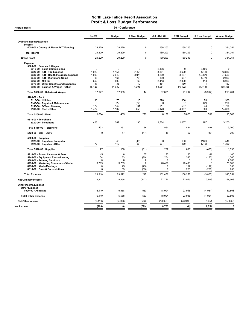| 30 - Conference<br><b>Accrual Basis</b>                                                                                                                                                                                                                                                           |                                                          |                                                   |                                                          |                                                            |                                                              |                                                            |                                                                     |  |  |
|---------------------------------------------------------------------------------------------------------------------------------------------------------------------------------------------------------------------------------------------------------------------------------------------------|----------------------------------------------------------|---------------------------------------------------|----------------------------------------------------------|------------------------------------------------------------|--------------------------------------------------------------|------------------------------------------------------------|---------------------------------------------------------------------|--|--|
|                                                                                                                                                                                                                                                                                                   | <b>Oct 20</b>                                            | <b>Budget</b>                                     | \$ Over Budget                                           | <b>Jul - Oct 20</b>                                        | <b>YTD Budget</b>                                            | \$ Over Budget                                             | <b>Annual Budget</b>                                                |  |  |
| <b>Ordinary Income/Expense</b><br>Income                                                                                                                                                                                                                                                          |                                                          |                                                   |                                                          |                                                            |                                                              |                                                            |                                                                     |  |  |
| 4050-00 · County of Placer TOT Funding                                                                                                                                                                                                                                                            | 29,229                                                   | 29,229                                            | 0                                                        | 130,203                                                    | 130,203                                                      | 0                                                          | 384,054                                                             |  |  |
| <b>Total Income</b>                                                                                                                                                                                                                                                                               | 29,229                                                   | 29,229                                            | $\mathbf 0$                                              | 130,203                                                    | 130,203                                                      | $\mathbf 0$                                                | 384,054                                                             |  |  |
| <b>Gross Profit</b>                                                                                                                                                                                                                                                                               | 29,229                                                   | 29,229                                            | $\mathbf 0$                                              | 130,203                                                    | 130,203                                                      | $\mathbf 0$                                                | 384,054                                                             |  |  |
| <b>Expense</b><br>5000-00 · Salaries & Wages<br>5010-00 · Sales Commissions<br>5020-00 · P/R - Tax Expense<br>5030-00 · P/R - Health Insurance Expense<br>5040-00 · P/R - Workmans Comp<br>$5060-00 \cdot 401$ (k)<br>5070-00 · Other Benefits and Expenses<br>5000-00 · Salaries & Wages - Other | 0<br>1,020<br>1,098<br>96<br>562<br>47<br>15,123         | 0<br>1,157<br>2,042<br>167<br>500<br>38<br>14,030 | 0<br>(137)<br>(944)<br>(70)<br>62<br>10<br>1,093         | 2,106<br>3,881<br>4,200<br>390<br>2.113<br>151<br>54,981   | $\pmb{0}$<br>4,629<br>8,167<br>667<br>2.000<br>150<br>56,122 | 2,106<br>(748)<br>(3,967)<br>(277)<br>113<br>1<br>(1, 141) | $\mathbf 0$<br>13,886<br>24,500<br>2,000<br>6.000<br>450<br>168,365 |  |  |
| Total 5000-00 · Salaries & Wages                                                                                                                                                                                                                                                                  | 17,947                                                   | 17,933                                            | 14                                                       | 67,821                                                     | 71,734                                                       | (3,912)                                                    | 215,201                                                             |  |  |
| 5100-00 $\cdot$ Rent<br>5110-00 · Utilities<br>5140-00 · Repairs & Maintenance<br>5150-00 · Office - Cleaning<br>5100-00 · Rent - Other                                                                                                                                                           | 90<br>$\mathbf 0$<br>172<br>1,422                        | 75<br>22<br>142<br>1,167                          | 15<br>(22)<br>31<br>255                                  | 378<br>$\mathbf 0$<br>611<br>5,170                         | 300<br>87<br>567<br>4,667                                    | 78<br>(87)<br>44<br>503                                    | 900<br>260<br>1,700<br>14,000                                       |  |  |
| Total 5100-00 · Rent                                                                                                                                                                                                                                                                              | 1,684                                                    | 1,405                                             | 279                                                      | 6,159                                                      | 5,620                                                        | 539                                                        | 16,860                                                              |  |  |
| 5310-00 · Telephone<br>5320-00 · Telephone                                                                                                                                                                                                                                                        | 403                                                      | 267                                               | 136                                                      | 1,564                                                      | 1,067                                                        | 497                                                        | 3,200                                                               |  |  |
| Total 5310-00 · Telephone                                                                                                                                                                                                                                                                         | 403                                                      | 267                                               | 136                                                      | 1,564                                                      | 1,067                                                        | 497                                                        | 3,200                                                               |  |  |
| 5420-00 · Mail - USPS                                                                                                                                                                                                                                                                             | $\pmb{0}$                                                | 17                                                | (17)                                                     | 18                                                         | 67                                                           | (49)                                                       | 200                                                                 |  |  |
| $5520-00 \cdot$ Supplies<br>5525-00 · Supplies- Computer<br>5520-00 · Supplies - Other                                                                                                                                                                                                            | $\mathbf 0$<br>77                                        | 45<br>113                                         | (45)<br>(36)                                             | 0<br>207                                                   | 180<br>450                                                   | (180)<br>(243)                                             | 540<br>1,350                                                        |  |  |
| Total 5520-00 · Supplies                                                                                                                                                                                                                                                                          | 77                                                       | 158                                               | (81)                                                     | 207                                                        | 630                                                          | (423)                                                      | 1,890                                                               |  |  |
| 5710-00 · Taxes, Licenses & Fees<br>5740-00 · Equipment Rental/Leasing<br>5800-00 · Training Seminars<br>6730-00 · Marketing Cooperative/Media<br>8750-00 · Meals/Meetings<br>8810-00 Dues & Subscriptions                                                                                        | 45<br>54<br>$\Omega$<br>3,709<br>$\mathbf 0$<br>$\Omega$ | 8<br>83<br>$\Omega$<br>3,709<br>29<br>63          | 37<br>(29)<br>$\mathbf 0$<br>$\mathbf 0$<br>(29)<br>(63) | 75<br>204<br>$\Omega$<br>26,408<br>$\Omega$<br>$\mathbf 0$ | 33<br>333<br>0<br>26,408<br>117<br>250                       | 41<br>(130)<br>$\Omega$<br>$\mathbf 0$<br>(117)<br>(250)   | 100<br>1,000<br>2,000<br>75,000<br>350<br>750                       |  |  |
| <b>Total Expense</b>                                                                                                                                                                                                                                                                              | 23,918                                                   | 23,672                                            | 247                                                      | 102,456                                                    | 106,258                                                      | (3,803)                                                    | 316,551                                                             |  |  |
| <b>Net Ordinary Income</b>                                                                                                                                                                                                                                                                        | 5,311                                                    | 5,558                                             | (247)                                                    | 27,747                                                     | 23,945                                                       | 3,803                                                      | 67,503                                                              |  |  |
| Other Income/Expense<br><b>Other Expense</b>                                                                                                                                                                                                                                                      |                                                          |                                                   |                                                          |                                                            |                                                              |                                                            |                                                                     |  |  |
| 8990-00 · Allocated                                                                                                                                                                                                                                                                               | 6,110                                                    | 5,558                                             | 553                                                      | 18,994                                                     | 23,945                                                       | (4, 951)                                                   | 67,503                                                              |  |  |
| <b>Total Other Expense</b>                                                                                                                                                                                                                                                                        | 6,110                                                    | 5,558                                             | 553                                                      | 18,994                                                     | 23,945                                                       | (4, 951)                                                   | 67,503                                                              |  |  |
| <b>Net Other Income</b>                                                                                                                                                                                                                                                                           | (6, 110)                                                 | (5, 558)                                          | (553)                                                    | (18, 994)                                                  | (23, 945)                                                    | 4,951                                                      | (67, 503)                                                           |  |  |
| Net Income                                                                                                                                                                                                                                                                                        | (799)                                                    | (0)                                               | (799)                                                    | 8,753                                                      | (0)                                                          | 8,754                                                      | 0                                                                   |  |  |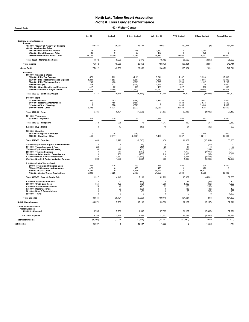Accrual Basis 42 - Visitor Center

|                                                                                                                                                                                                                                                                                   | <b>Oct 20</b>                                                             | <b>Budget</b>                                                           | \$ Over Budget                                            | Jul - Oct 20                                                  | <b>YTD Budget</b>                                   | \$ Over Budget                                              | <b>Annual Budget</b>                                    |
|-----------------------------------------------------------------------------------------------------------------------------------------------------------------------------------------------------------------------------------------------------------------------------------|---------------------------------------------------------------------------|-------------------------------------------------------------------------|-----------------------------------------------------------|---------------------------------------------------------------|-----------------------------------------------------|-------------------------------------------------------------|---------------------------------------------------------|
| <b>Ordinary Income/Expense</b>                                                                                                                                                                                                                                                    |                                                                           |                                                                         |                                                           |                                                               |                                                     |                                                             |                                                         |
| Income<br>4050-00 County of Placer TOT Funding                                                                                                                                                                                                                                    | 63,141                                                                    | 36,960                                                                  | 26,181                                                    | 150,323                                                       | 150,324                                             | (1)                                                         | 457,711                                                 |
| 46000 · Merchandise Sales<br>4502-00 · Non-Retail VIC income<br>4504-00 · Retail Revenue - Other                                                                                                                                                                                  | 118<br>20                                                                 | $\mathbf 0$<br>$\Omega$                                                 | 118<br>20                                                 | 1,250<br>470                                                  | $\Omega$<br>$\Omega$                                | 1,250<br>470                                                | $\mathbf 0$<br>$\Omega$                                 |
| 46000 · Merchandise Sales - Other<br>Total 46000 · Merchandise Sales                                                                                                                                                                                                              | 11,734                                                                    | 9,000<br>9,000                                                          | 2,734<br>2,872                                            | 46,432                                                        | 35,500                                              | 10,932                                                      | 85,000<br>85,000                                        |
| <b>Total Income</b>                                                                                                                                                                                                                                                               | 11,872<br>75,012                                                          | 45,960                                                                  | 29,053                                                    | 48,152<br>198,475                                             | 35,500<br>185,824                                   | 12,652<br>12,651                                            | 542,711                                                 |
| <b>Gross Profit</b>                                                                                                                                                                                                                                                               | 75,012                                                                    | 45,960                                                                  | 29,053                                                    | 198,475                                                       | 185,824                                             | 12,651                                                      | 542,711                                                 |
| <b>Expense</b>                                                                                                                                                                                                                                                                    |                                                                           |                                                                         |                                                           |                                                               |                                                     |                                                             |                                                         |
| 5000-00 · Salaries & Wages<br>5020-00 · P/R - Tax Expense<br>5030-00 · P/R - Health Insurance Expense<br>5040-00 · P/R - Workmans Comp<br>5060-00 $\cdot$ 401 (k)<br>5070-00 Other Benefits and Expenses<br>5000-00 · Salaries & Wages - Other                                    | 573<br>1,234<br>299<br>313<br>417<br>8,276                                | 1,292<br>1,583<br>433<br>417<br>82<br>15,568                            | (719)<br>(350)<br>(135)<br>(104)<br>335<br>(7, 292)       | 3,641<br>4,378<br>1,596<br>1,597<br>463<br>41,770             | 5,167<br>6,333<br>1,733<br>1,667<br>327<br>62,273   | (1,526)<br>(1,956)<br>(137)<br>(70)<br>136<br>(20, 503)     | 15,500<br>19,000<br>5,200<br>5,000<br>982<br>186,818    |
| Total 5000-00 · Salaries & Wages                                                                                                                                                                                                                                                  | 11,111                                                                    | 19,375                                                                  | (8, 264)                                                  | 53,444                                                        | 77,500                                              | (24,056)                                                    | 232,500                                                 |
| 5100-00 · Rent<br>5110-00 · Utilities<br>5140-00 · Repairs & Maintenance<br>5150-00 · Office - Cleaning<br>5100-00 · Rent - Other                                                                                                                                                 | 387<br>$\Omega$<br>$\Omega$<br>6,398                                      | 583<br>458<br>358<br>6,721                                              | (196)<br>(458)<br>(358)<br>(323)                          | 1,446<br>$\Omega$<br>$\mathbf 0$<br>26,057                    | 2,333<br>1,833<br>1,433<br>26,883                   | (887)<br>(1,833)<br>(1, 433)<br>(826)                       | 7,000<br>5,500<br>4,300<br>80,650                       |
| Total 5100-00 · Rent                                                                                                                                                                                                                                                              | 6,785                                                                     | 8,121                                                                   | (1, 336)                                                  | 27,503                                                        | 32,483                                              | (4,980)                                                     | 97,450                                                  |
| 5310-00 · Telephone<br>5320-00 · Telephone                                                                                                                                                                                                                                        | 313                                                                       | 238                                                                     | 75                                                        | 1,217                                                         | 950                                                 | 267                                                         | 2,850                                                   |
| Total 5310-00 · Telephone                                                                                                                                                                                                                                                         | 313                                                                       | 238                                                                     | 75                                                        | 1,217                                                         | 950                                                 | 267                                                         | 2,850                                                   |
| 5420-00 · Mail - USPS                                                                                                                                                                                                                                                             | $\mathbf 0$                                                               | 17                                                                      | (17)                                                      | 18                                                            | 67                                                  | (49)                                                        | 200                                                     |
| 5520-00 · Supplies<br>5525-00 · Supplies- Computer<br>5520-00 · Supplies - Other                                                                                                                                                                                                  | 0<br>449                                                                  | 75<br>2.917                                                             | (75)<br>(2, 468)                                          | $\pmb{0}$<br>1,456                                            | 300<br>11,667                                       | (300)<br>(10, 211)                                          | 900<br>35,000                                           |
| Total 5520-00 · Supplies                                                                                                                                                                                                                                                          | 449                                                                       | 2,992                                                                   | (2, 543)                                                  | 1,456                                                         | 11,967                                              | (10, 511)                                                   | 35,900                                                  |
| 5700-00 · Equipment Support & Maintenance<br>5710-00 · Taxes, Licenses & Fees<br>5740-00 · Equipment Rental/Leasing<br>5800-00 · Training Seminars<br>5850-00 Artist of Month - Commissions<br>6740-00 · Media/Collateral/Production<br>6742-00 · Non-NLT Co-Op Marketing Program | $\mathbf 0$<br>(6)<br>98<br>$\mathbf 0$<br>$\mathbf 0$<br>$\Omega$<br>200 | $\overline{4}$<br>$\overline{4}$<br>129<br>250<br>250<br>1,667<br>1,000 | (4)<br>(10)<br>(31)<br>(250)<br>(250)<br>(1,667)<br>(800) | $\mathbf 0$<br>23<br>353<br>$\pmb{0}$<br>918<br>0<br>800      | 17<br>17<br>517<br>1,000<br>1,000<br>6,667<br>4,000 | (17)<br>6<br>(164)<br>(1,000)<br>(82)<br>(6,667)<br>(3,200) | 50<br>50<br>1,550<br>3,000<br>3,000<br>20,000<br>12,000 |
| 8100-00 · Cost of Goods Sold<br>51100 · Freight and Shipping Costs<br>59900 · POS Inventory Adjustments<br>8100-01 · CGS - Other<br>8100-00 · Cost of Goods Sold - Other                                                                                                          | 234<br>478<br>4,397<br>6,208                                              | 125<br>$\mathbf 0$<br>$\mathbf 0$<br>4,023                              | 109<br>478<br>4,397<br>2,185                              | 836<br>478<br>56,727<br>24,228                                | 500<br>$\mathbf 0$<br>$\Omega$<br>15,869            | 336<br>478<br>56,727<br>8,360                               | 1,500<br>$\mathbf 0$<br>$\Omega$<br>38,000              |
| Total 8100-00 · Cost of Goods Sold                                                                                                                                                                                                                                                | 11,317                                                                    | 4,148                                                                   | 7,169                                                     | 82,269                                                        | 16,369                                              | 65,901                                                      | 39,500                                                  |
| 8200-00 · Associate Relations<br>8500-00 · Credit Card Fees<br>8700-00 · Automobile Expenses<br>8750-00 · Meals/Meetings<br>8810-00 · Dues & Subscriptions<br>8910-00 · Travel                                                                                                    | $\mathbf 0$<br>351<br>24<br>$\mathbf 0$<br>$\mathbf 0$<br>$\Omega$        | 17<br>423<br>46<br>33<br>8<br>$\pmb{0}$                                 | (17)<br>(72)<br>(21)<br>(33)<br>(8)<br>$\Omega$           | $\mathbf 0$<br>1,360<br>83<br>$\mathbf 0$<br>0<br>$\mathsf 0$ | 67<br>1,669<br>183<br>133<br>33<br>$\Omega$         | (67)<br>(308)<br>(100)<br>(133)<br>(33)<br>$\Omega$         | 200<br>4,000<br>550<br>400<br>100<br>1,500              |
| <b>Total Expense</b>                                                                                                                                                                                                                                                              | 30,641                                                                    | 38,721                                                                  | (8,080)                                                   | 169,445                                                       | 154,637                                             | 14,808                                                      | 454,800                                                 |
| <b>Net Ordinary Income</b>                                                                                                                                                                                                                                                        | 44,371                                                                    | 7,239                                                                   | 37,133                                                    | 29,030                                                        | 31,187                                              | (2, 157)                                                    | 87,911                                                  |
| <b>Other Income/Expense</b><br><b>Other Expense</b>                                                                                                                                                                                                                               |                                                                           |                                                                         |                                                           |                                                               |                                                     |                                                             |                                                         |
| 8990-00 · Allocated                                                                                                                                                                                                                                                               | 8,785                                                                     | 7,239                                                                   | 1,546                                                     | 27,307                                                        | 31,187                                              | (3,880)                                                     | 87,921                                                  |
| <b>Total Other Expense</b><br><b>Net Other Income</b>                                                                                                                                                                                                                             | 8,785<br>(8, 785)                                                         | 7,239<br>(7, 239)                                                       | 1,546<br>(1, 546)                                         | 27,307<br>(27, 307)                                           | 31,187<br>(31, 187)                                 | (3,880)<br>3,880                                            | 87,921<br>(87, 921)                                     |
| Net Income                                                                                                                                                                                                                                                                        | 35,587                                                                    | $\mathbf 0$                                                             | 35,587                                                    | 1,722                                                         | $\mathbf 0$                                         | 1,722                                                       | (10)                                                    |
|                                                                                                                                                                                                                                                                                   |                                                                           |                                                                         |                                                           |                                                               |                                                     |                                                             |                                                         |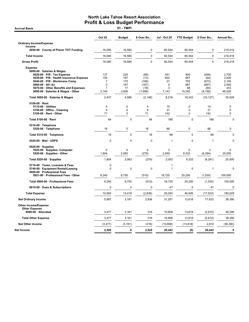**Accrual Basis** 

|                                                                                                                                                                                                                                                                  | <b>Oct 20</b>                             | <b>Budget</b>                           | \$ Over Bu                                        | <b>Jul - Oct 20</b>                        | <b>YTD Budget</b>                         | \$ Over Bu                                          | Annual Bu                                         |
|------------------------------------------------------------------------------------------------------------------------------------------------------------------------------------------------------------------------------------------------------------------|-------------------------------------------|-----------------------------------------|---------------------------------------------------|--------------------------------------------|-------------------------------------------|-----------------------------------------------------|---------------------------------------------------|
| <b>Ordinary Income/Expense</b>                                                                                                                                                                                                                                   |                                           |                                         |                                                   |                                            |                                           |                                                     |                                                   |
| Income<br>4050-00 · County of Placer TOT Funding                                                                                                                                                                                                                 | 16,580                                    | 16,580                                  | $\mathbf 0$                                       | 60,544                                     | 60,544                                    | 0                                                   | 218,419                                           |
| <b>Total Income</b>                                                                                                                                                                                                                                              | 16,580                                    | 16,580                                  | 0                                                 | 60,544                                     | 60,544                                    | $\mathbf 0$                                         | 218,419                                           |
| <b>Gross Profit</b>                                                                                                                                                                                                                                              | 16,580                                    | 16,580                                  | 0                                                 | 60,544                                     | 60,544                                    | $\mathbf 0$                                         | 218,419                                           |
| <b>Expense</b><br>5000-00 · Salaries & Wages<br>5020-00 · P/R - Tax Expense<br>5030-00 · P/R - Health Insurance Expense<br>5040-00 · P/R - Workmans Comp<br>5060-00 $\cdot$ 401 (k)<br>5070-00 Other Benefits and Expenses<br>5000-00 · Salaries & Wages - Other | 137<br>154<br>7<br>$\Omega$<br>1<br>2,140 | 225<br>167<br>175<br>167<br>17<br>3,836 | (88)<br>(13)<br>(168)<br>(167)<br>(16)<br>(1,696) | 441<br>602<br>27<br>$\Omega$<br>3<br>7,143 | 900<br>667<br>700<br>667<br>68<br>15,342  | (459)<br>(64)<br>(673)<br>(667)<br>(64)<br>(8, 199) | 2,700<br>2,000<br>2,100<br>2,000<br>203<br>46,026 |
| Total 5000-00 · Salaries & Wages                                                                                                                                                                                                                                 | 2,437                                     | 4,586                                   | (2, 148)                                          | 8,216                                      | 18,343                                    | (10, 127)                                           | 55,029                                            |
| 5100-00 · Rent<br>5110-00 · Utilities<br>5150-00 Office - Cleaning<br>5100-00 · Rent - Other                                                                                                                                                                     | 4<br>9<br>71                              | 0<br>0<br>0                             | $\overline{4}$<br>9<br>71                         | 15<br>31<br>142                            | $\mathbf 0$<br>$\mathbf 0$<br>$\mathbf 0$ | 15<br>31<br>142                                     | 0<br>$\mathbf 0$<br>$\pmb{0}$                     |
| Total 5100-00 · Rent                                                                                                                                                                                                                                             | 84                                        | $\mathbf 0$                             | 84                                                | 188                                        | $\mathbf 0$                               | 188                                                 | $\mathbf 0$                                       |
| 5310-00 · Telephone<br>5320-00 · Telephone                                                                                                                                                                                                                       | 18                                        | 0                                       | 18                                                | 66                                         | $\mathbf 0$                               | 66                                                  | $\pmb{0}$                                         |
| Total 5310-00 · Telephone                                                                                                                                                                                                                                        | 18                                        | 0                                       | 18                                                | 66                                         | $\mathbf 0$                               | 66                                                  | $\mathbf 0$                                       |
| 5420-00 · Mail - USPS                                                                                                                                                                                                                                            | 0                                         | 0                                       | 0                                                 | $\overline{1}$                             | $\mathbf 0$                               | $\mathbf{1}$                                        | 0                                                 |
| $5520-00 \cdot$ Supplies<br>5525-00 · Supplies- Computer<br>5520-00 · Supplies - Other                                                                                                                                                                           | $\Omega$<br>1,804                         | $\Omega$<br>2,083                       | 0<br>(279)                                        | 3<br>2,049                                 | $\Omega$<br>8,333                         | 3<br>(6, 284)                                       | 0<br>25,000                                       |
| Total 5520-00 · Supplies                                                                                                                                                                                                                                         | 1,804                                     | 2,083                                   | (279)                                             | 2,053                                      | 8,333                                     | (6, 281)                                            | 25,000                                            |
| 5710-00 · Taxes, Licenses & Fees<br>5740-00 · Equipment Rental/Leasing<br>5900-00 · Professional Fees                                                                                                                                                            | 0<br>$\Omega$                             | 0                                       | $\mathbf 0$                                       | $\mathbf{1}$<br>$\mathbf{1}$               | $\mathbf 0$                               | $\mathbf{1}$                                        | 0                                                 |
| 5921-00 Professional Fees - Other                                                                                                                                                                                                                                | 6,240                                     | 6,750                                   | (510)                                             | 18,720                                     | 20,250                                    | (1,530)                                             | 100,000                                           |
| Total 5900-00 · Professional Fees                                                                                                                                                                                                                                | 6,240                                     | 6,750                                   | (510)                                             | 18,720                                     | 20,250                                    | (1,530)                                             | 100,000                                           |
| 8810-00 · Dues & Subscriptions                                                                                                                                                                                                                                   | $\mathbf 0$                               | 0                                       | 0                                                 | 47                                         | 0                                         | 47                                                  | $\mathbf 0$                                       |
| <b>Total Expense</b>                                                                                                                                                                                                                                             | 10,583                                    | 13,419                                  | (2,836)                                           | 29,293                                     | 46,926                                    | (17, 633)                                           | 180,029                                           |
| <b>Net Ordinary Income</b>                                                                                                                                                                                                                                       | 5,997                                     | 3,161                                   | 2,836                                             | 31,251                                     | 13,618                                    | 17,633                                              | 38,390                                            |
| <b>Other Income/Expense</b><br><b>Other Expense</b><br>8990-00 · Allocated                                                                                                                                                                                       | 3,477                                     | 3,161                                   | 316                                               | 10,808                                     | 13,618                                    | (2,810)                                             | 38,390                                            |
|                                                                                                                                                                                                                                                                  |                                           |                                         |                                                   |                                            |                                           |                                                     |                                                   |
| <b>Total Other Expense</b>                                                                                                                                                                                                                                       | 3,477                                     | 3,161                                   | 316                                               | 10,808                                     | 13,618                                    | (2,810)                                             | 38,390                                            |
| <b>Net Other Income</b><br>Net Income                                                                                                                                                                                                                            | (3, 477)<br>2,520                         | (3, 161)<br>0                           | (316)<br>2,520                                    | (10, 808)<br>20,443                        | (13, 618)<br>(0)                          | 2,810<br>20,443                                     | (38, 390)<br>$\bf{0}$                             |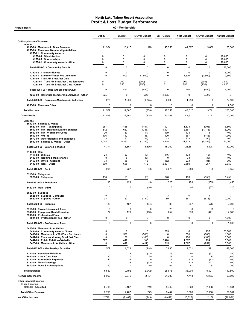| <b>Accrual Basis</b>                                                                                                                                                                                                                          |                          |                                     |                                     |                                          |                                   |                                       |                                            |
|-----------------------------------------------------------------------------------------------------------------------------------------------------------------------------------------------------------------------------------------------|--------------------------|-------------------------------------|-------------------------------------|------------------------------------------|-----------------------------------|---------------------------------------|--------------------------------------------|
|                                                                                                                                                                                                                                               | <b>Oct 20</b>            | <b>Budget</b>                       | \$ Over Budget                      | <b>Jul - Oct 20</b>                      | <b>YTD Budget</b>                 | \$ Over Budget                        | <b>Annual Budget</b>                       |
| <b>Ordinary Income/Expense</b>                                                                                                                                                                                                                |                          |                                     |                                     |                                          |                                   |                                       |                                            |
| Income<br>4200-00 · Membership Dues Revenue<br>4250-00 · Revenues-Membership Activities<br>4250-01 · Community Awards                                                                                                                         | 11,334                   | 10,417                              | 918                                 | 45,353                                   | 41,667                            | 3,686                                 | 125,000                                    |
| 4250-04 · Silent Auction<br>4250-05 · Sponsorships                                                                                                                                                                                            | 0<br>0                   | 0<br>0                              | 0<br>$\mathbf 0$                    | 0<br>0                                   | 0<br>0                            | 0<br>0                                | 19,000<br>19,000                           |
| 4250-01 · Community Awards - Other                                                                                                                                                                                                            | 0                        | 0                                   | 0                                   | 0                                        | 0                                 | 0                                     | 20,000                                     |
| Total 4250-01 · Community Awards                                                                                                                                                                                                              | 0                        | 0                                   | 0                                   | 0                                        | 0                                 | 0                                     | 58,000                                     |
| 4250-02 · Chamber Events                                                                                                                                                                                                                      | $\Omega$                 | $\Omega$                            | $\Omega$                            | $\Omega$                                 | 0                                 | $\Omega$                              | 6,000                                      |
| 4250-03 · Summer/Winter Rec Luncheon<br>4251-00 · Tues AM Breakfast Club                                                                                                                                                                      | $\Omega$                 | 1,500                               | (1,500)                             | 0                                        | 1,500                             | (1,500)                               | 2,500                                      |
| 4251-01 · Tues AM Breakfast Club Sponsors<br>4251-00 · Tues AM Breakfast Club - Other                                                                                                                                                         | 0<br>0                   | 200<br>250                          | (200)<br>(250)                      | 0<br>0                                   | 200<br>250                        | (200)<br>(250)                        | 2,000<br>4,000                             |
| Total 4251-00 · Tues AM Breakfast Club                                                                                                                                                                                                        | 0                        | 450                                 | (450)                               | 0                                        | 450                               | (450)                                 | 6,000                                      |
| 4250-00 · Revenues-Membership Activities - Other                                                                                                                                                                                              | 225                      | 0                                   | 225                                 | 2,005                                    | 0                                 | 2,005                                 | 0                                          |
|                                                                                                                                                                                                                                               | 225                      | 1,950                               |                                     | 2,005                                    | 1,950                             | 55                                    | 72,500                                     |
| Total 4250-00 · Revenues-Membership Activities                                                                                                                                                                                                |                          |                                     | (1, 725)                            |                                          |                                   |                                       |                                            |
| 4253-00 · Revenue- Other                                                                                                                                                                                                                      | 0                        | 0                                   | 0                                   | 0                                        | 0                                 | 0                                     | 2,500                                      |
| <b>Total Income</b>                                                                                                                                                                                                                           | 11,559                   | 12,367                              | (808)                               | 47,358                                   | 43,617                            | 3,741                                 | 200,000                                    |
| <b>Gross Profit</b>                                                                                                                                                                                                                           | 11,559                   | 12,367                              | (808)                               | 47,358                                   | 43,617                            | 3,741                                 | 200,000                                    |
| <b>Expense</b><br>5000-00 · Salaries & Wages<br>$5020-00 \cdot P/R$ - Tax Expense<br>5030-00 · P/R - Health Insurance Expense<br>5040-00 · P/R - Workmans Comp<br>5060-00 $\cdot$ 401 (k)                                                     | 267<br>312<br>20<br>106  | 458<br>667<br>33<br>142             | (191)<br>(355)<br>(14)<br>(36)      | 927<br>1,491<br>139<br>420               | 1,833<br>2,667<br>133<br>567      | (906)<br>(1, 176)<br>5<br>(146)       | 5,500<br>8,000<br>400<br>1,700             |
| 5070-00 · Other Benefits and Expenses<br>5000-00 · Salaries & Wages - Other                                                                                                                                                                   | 13<br>4,054              | 33<br>5,333                         | (21)<br>(1,280)                     | 43<br>15,248                             | 133<br>21,333                     | (90)<br>(6,085)                       | 400<br>64,000                              |
| Total 5000-00 · Salaries & Wages                                                                                                                                                                                                              | 4,771                    | 6,667                               | (1,896)                             | 18,269                                   | 26,667                            | (8,398)                               | 80,000                                     |
| $5100-00 \cdot$ Rent<br>$5110-00 \cdot$ Utilities                                                                                                                                                                                             | 23                       | 33                                  | (10)                                | 116                                      | 133                               | (18)                                  | 400                                        |
| 5140-00 · Repairs & Maintenance<br>5150-00 · Office - Cleaning<br>5100-00 · Rent - Other                                                                                                                                                      | $\mathbf 0$<br>73<br>809 | 8<br>58<br>638                      | (8)<br>15<br>172                    | $\Omega$<br>152<br>2,807                 | 33<br>233<br>2,550                | (33)<br>(81)<br>257                   | 100<br>700<br>7,650                        |
| Total 5100-00 · Rent                                                                                                                                                                                                                          | 905                      | 737                                 | 168                                 | 3,075                                    | 2,950                             | 125                                   | 8,850                                      |
| 5310-00 · Telephone<br>5320-00 · Telephone                                                                                                                                                                                                    | 118                      | 121                                 | (3)                                 | 328                                      | 483                               | (155)                                 | 1,450                                      |
| Total 5310-00 · Telephone                                                                                                                                                                                                                     | 118                      | 121                                 | (3)                                 | 328                                      | 483                               | (155)                                 | 1,450                                      |
| 5420-00 Mail USPS                                                                                                                                                                                                                             | 0                        | 10                                  | (10)                                | 3                                        | 40                                | (37)                                  | 120                                        |
| $5520-00 \cdot$ Supplies<br>5525-00 · Supplies- Computer<br>5520-00 · Supplies - Other                                                                                                                                                        | 0<br>33                  | $\Omega$<br>167                     | $\Omega$<br>(134)                   | $\overline{\mathbf{c}}$<br>89            | 0<br>667                          | $\overline{2}$<br>(578)               | 0<br>2,000                                 |
| Total 5520-00 · Supplies                                                                                                                                                                                                                      | 33                       | 167                                 | (134)                               | 90                                       | 667                               | (576)                                 | 2,000                                      |
| 5710-00 · Taxes, Licenses & Fees<br>5740-00 · Equipment Rental/Leasing<br>5900-00 · Professional Fees                                                                                                                                         | $\mathbf 0$<br>74        | 0<br>173                            | 0<br>(100)                          | 23<br>252                                | 0<br>693                          | 23<br>(441)                           | 0<br>2,080                                 |
| 5921-00 · Professional Fees - Other                                                                                                                                                                                                           | 0                        | $\mathsf 0$                         | 0                                   | $\mathbf 0$                              | 0                                 | 0                                     | 1,000                                      |
| Total 5900-00 · Professional Fees                                                                                                                                                                                                             | $\mathbf 0$              | $\pmb{0}$                           | 0                                   | $\mathbf 0$                              | 0                                 | 0                                     | 1,000                                      |
| 6423-00 · Membership Activities<br>6434-00 · Community Awards Dinner<br>6436-00 · Membership - Wnt/Sum Rec Lunch<br>6437-00 · Tuesday Morning Breakfast Club<br>6442-00 · Public Relations/Website<br>6423-00 · Membership Activities - Other | 0<br>0<br>0<br>577<br>0  | 0<br>500<br>188<br>417<br>417       | 0<br>(500)<br>(188)<br>160<br>(417) | 295<br>0<br>0<br>2,420<br>915            | 0<br>500<br>188<br>1,667<br>1,667 | 295<br>(500)<br>(188)<br>754<br>(752) | 28,000<br>1,000<br>3,000<br>5,000<br>5,000 |
| Total 6423-00 Membership Activities                                                                                                                                                                                                           | 577                      | 1,521                               | (944)                               | 3,630                                    | 4,021                             | (391)                                 | 42,000                                     |
| 8200-00 · Associate Relations<br>8500-00 · Credit Card Fees<br>8700-00 · Automobile Expenses<br>8750-00 · Meals/Meetings<br>8810-00 · Dues & Subscriptions                                                                                    | 0<br>20<br>42<br>0<br>10 | 13<br>$\mathbf 0$<br>33<br>33<br>17 | (13)<br>20<br>9<br>(33)<br>(6)      | 13<br>113<br>71<br>$\overline{7}$<br>104 | 50<br>0<br>133<br>133<br>67       | (37)<br>113<br>(63)<br>(127)<br>37    | 150<br>1,850<br>400<br>400<br>200          |
| <b>Total Expense</b>                                                                                                                                                                                                                          | 6,550                    | 9,492                               | (2,942)                             | 25,978                                   | 35,904                            | (9,927)                               | 140,500                                    |
| <b>Net Ordinary Income</b>                                                                                                                                                                                                                    | 5,009                    | 2,875                               | 2,134                               | 21,380                                   | 7,713                             | 13,667                                | 59,500                                     |
| Other Income/Expense<br><b>Other Expense</b><br>8990-00 · Allocated                                                                                                                                                                           | 2,716                    | 2,467                               | 249                                 | 8,442                                    | 10,628                            | (2, 186)                              | 29,961                                     |
| <b>Total Other Expense</b>                                                                                                                                                                                                                    | 2,716                    | 2,467                               | 249                                 | 8,442                                    | 10,628                            | (2, 186)                              | 29,961                                     |
| <b>Net Other Income</b>                                                                                                                                                                                                                       | (2,716)                  | (2, 467)                            | (249)                               | (8, 442)                                 | (10, 628)                         | 2,186                                 | (29, 961)                                  |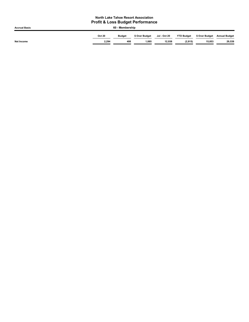| <b>Accrual Basis</b> | 60 - Membership |               |                |              |                   |                |                      |
|----------------------|-----------------|---------------|----------------|--------------|-------------------|----------------|----------------------|
|                      | <b>Oct 20</b>   | <b>Budget</b> | \$ Over Budget | Jul - Oct 20 | <b>YTD Budget</b> | \$ Over Budget | <b>Annual Budget</b> |
| Net Income           | 2.294           | 408           | 1.885          | 12.938       | (2, 915)          | 15,853         | 29,539               |